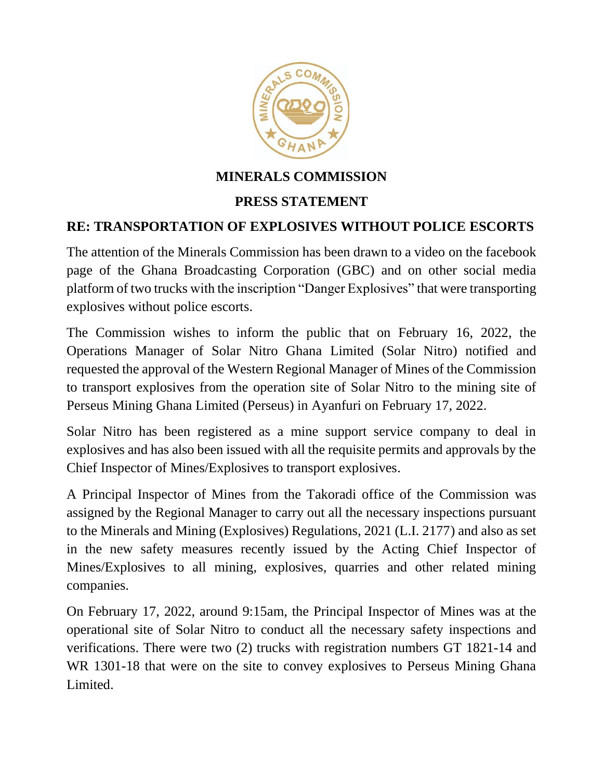

## **MINERALS COMMISSION**

## **PRESS STATEMENT**

## **RE: TRANSPORTATION OF EXPLOSIVES WITHOUT POLICE ESCORTS**

The attention of the Minerals Commission has been drawn to a video on the facebook page of the Ghana Broadcasting Corporation (GBC) and on other social media platform of two trucks with the inscription "Danger Explosives" that were transporting explosives without police escorts.

The Commission wishes to inform the public that on February 16, 2022, the Operations Manager of Solar Nitro Ghana Limited (Solar Nitro) notified and requested the approval of the Western Regional Manager of Mines of the Commission to transport explosives from the operation site of Solar Nitro to the mining site of Perseus Mining Ghana Limited (Perseus) in Ayanfuri on February 17, 2022.

Solar Nitro has been registered as a mine support service company to deal in explosives and has also been issued with all the requisite permits and approvals by the Chief Inspector of Mines/Explosives to transport explosives.

A Principal Inspector of Mines from the Takoradi office of the Commission was assigned by the Regional Manager to carry out all the necessary inspections pursuant to the Minerals and Mining (Explosives) Regulations, 2021 (L.I. 2177) and also as set in the new safety measures recently issued by the Acting Chief Inspector of Mines/Explosives to all mining, explosives, quarries and other related mining companies.

On February 17, 2022, around 9:15am, the Principal Inspector of Mines was at the operational site of Solar Nitro to conduct all the necessary safety inspections and verifications. There were two (2) trucks with registration numbers GT 1821-14 and WR 1301-18 that were on the site to convey explosives to Perseus Mining Ghana Limited.